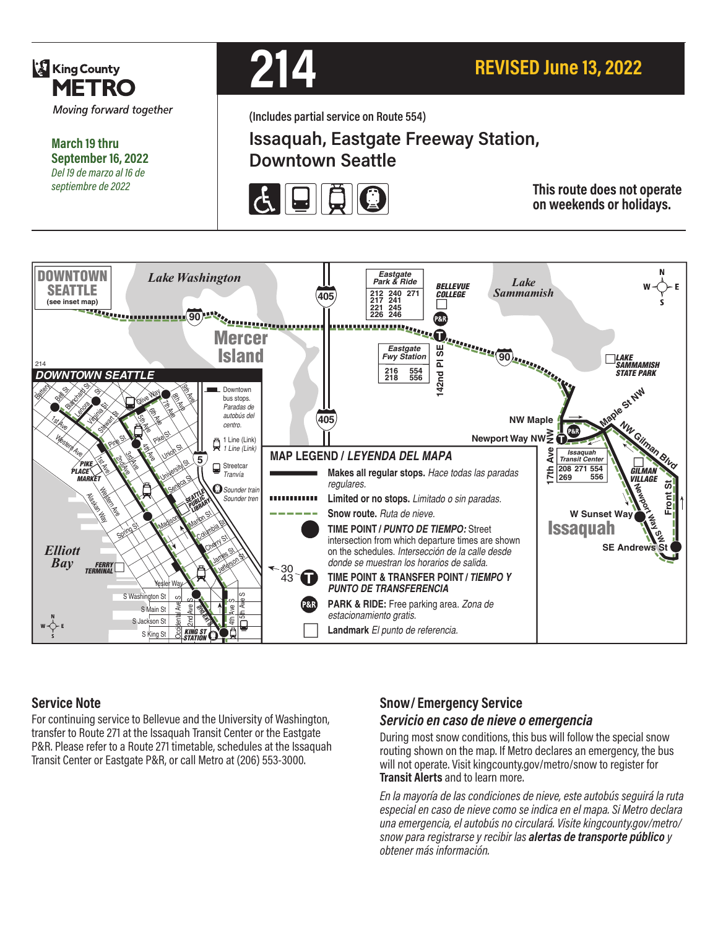

**March 19 thru September 16, 2022** *Del 19 de marzo al 16 de septiembre de 2022*



**(Includes partial service on Route 554)**

# **Issaquah, Eastgate Freeway Station, Downtown Seattle**



**This route does not operate on weekends or holidays.**



## **Service Note**

For continuing service to Bellevue and the University of Washington, transfer to Route 271 at the Issaquah Transit Center or the Eastgate P&R. Please refer to a Route 271 timetable, schedules at the Issaquah Transit Center or Eastgate P&R, or call Metro at (206) 553-3000.

## **Snow/ Emergency Service**

#### *Servicio en caso de nieve o emergencia*

During most snow conditions, this bus will follow the special snow routing shown on the map. If Metro declares an emergency, the bus will not operate. Visit kingcounty.gov/metro/snow to register for **Transit Alerts** and to learn more.

*En la mayoría de las condiciones de nieve, este autobús seguirá la ruta especial en caso de nieve como se indica en el mapa. Si Metro declara una emergencia, el autobús no circulará. Visite kingcounty.gov/metro/ snow para registrarse y recibir las alertas de transporte público y obtener más información.*